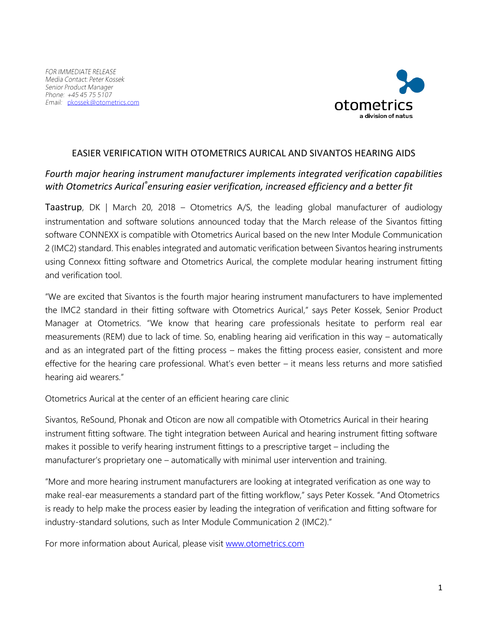

## EASIER VERIFICATION WITH OTOMETRICS AURICAL AND SIVANTOS HEARING AIDS

## *Fourth major hearing instrument manufacturer implements integrated verification capabilities with Otometrics Aurical®ensuring easier verification, increased efficiency and a better fit*

Taastrup, DK | March 20, 2018 – Otometrics A/S, the leading global manufacturer of audiology instrumentation and software solutions announced today that the March release of the Sivantos fitting software CONNEXX is compatible with Otometrics Aurical based on the new Inter Module Communication 2 (IMC2) standard. This enables integrated and automatic verification between Sivantos hearing instruments using Connexx fitting software and Otometrics Aurical, the complete modular hearing instrument fitting and verification tool.

"We are excited that Sivantos is the fourth major hearing instrument manufacturers to have implemented the IMC2 standard in their fitting software with Otometrics Aurical," says Peter Kossek, Senior Product Manager at Otometrics. "We know that hearing care professionals hesitate to perform real ear measurements (REM) due to lack of time. So, enabling hearing aid verification in this way – automatically and as an integrated part of the fitting process – makes the fitting process easier, consistent and more effective for the hearing care professional. What's even better – it means less returns and more satisfied hearing aid wearers."

Otometrics Aurical at the center of an efficient hearing care clinic

Sivantos, ReSound, Phonak and Oticon are now all compatible with Otometrics Aurical in their hearing instrument fitting software. The tight integration between Aurical and hearing instrument fitting software makes it possible to verify hearing instrument fittings to a prescriptive target – including the manufacturer's proprietary one – automatically with minimal user intervention and training.

"More and more hearing instrument manufacturers are looking at integrated verification as one way to make real-ear measurements a standard part of the fitting workflow," says Peter Kossek. "And Otometrics is ready to help make the process easier by leading the integration of verification and fitting software for industry-standard solutions, such as Inter Module Communication 2 (IMC2)."

For more information about Aurical, please visit [www.otometrics.com](http://www.otometrics.com/)